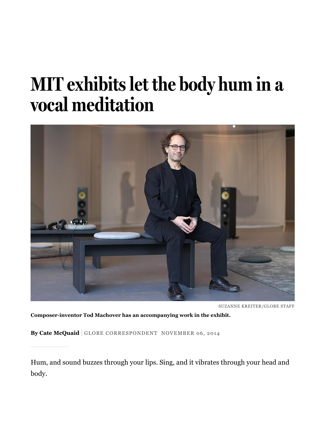## MIT exhibits let the body hum in a vocal meditation



SUZANNE KREITER/GLOBE STAFF

**Composerinventor Tod Machover has an accompanying work in the exhibit.**

**By Cate McQuaid** GLOBE CORRESPONDENT NOVEMBER 06, 2014

Hum, and sound buzzes through your lips. Sing, and it vibrates through your head and body.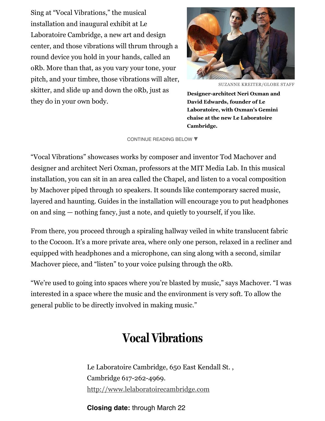Sing at "Vocal Vibrations," the musical installation and inaugural exhibit at Le Laboratoire Cambridge, a new art and design center, and those vibrations will thrum through a round device you hold in your hands, called an oRb. More than that, as you vary your tone, your pitch, and your timbre, those vibrations will alter, skitter, and slide up and down the oRb, just as they do in your own body.



SUZANNE KREITER/GLOBE STAFF

**Designerarchitect Neri Oxman and David Edwards, founder of Le Laboratoire, with Oxman's Gemini chaise at the new Le Laboratoire Cambridge.**

## [CONTINUE](#page-1-0) READING BELOW ▼

<span id="page-1-0"></span>"Vocal Vibrations" showcases works by composer and inventor Tod Machover and designer and architect Neri Oxman, professors at the MIT Media Lab. In this musical installation, you can sit in an area called the Chapel, and listen to a vocal composition by Machover piped through 10 speakers. It sounds like contemporary sacred music, layered and haunting. Guides in the installation will encourage you to put headphones on and sing — nothing fancy, just a note, and quietly to yourself, if you like.

From there, you proceed through a spiraling hallway veiled in white translucent fabric to the Cocoon. It's a more private area, where only one person, relaxed in a recliner and equipped with headphones and a microphone, can sing along with a second, similar Machover piece, and "listen" to your voice pulsing through the oRb.

"We're used to going into spaces where you're blasted by music," says Machover. "I was interested in a space where the music and the environment is very soft. To allow the general public to be directly involved in making music."

## Vocal Vibrations

Le Laboratoire Cambridge, 650 East Kendall St. , Cambridge 617-262-4969. [http://www.lelaboratoirecambridge.com](http://www.lelaboratoirecambridge.com/)

**Closing date:** through March 22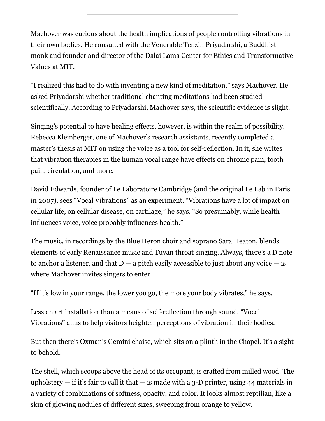Machover was curious about the health implications of people controlling vibrations in their own bodies. He consulted with the Venerable Tenzin Priyadarshi, a Buddhist monk and founder and director of the Dalai Lama Center for Ethics and Transformative Values at MIT.

"I realized this had to do with inventing a new kind of meditation," says Machover. He asked Priyadarshi whether traditional chanting meditations had been studied scientifically. According to Priyadarshi, Machover says, the scientific evidence is slight.

Singing's potential to have healing effects, however, is within the realm of possibility. Rebecca Kleinberger, one of Machover's research assistants, recently completed a master's thesis at MIT on using the voice as a tool for self-reflection. In it, she writes that vibration therapies in the human vocal range have effects on chronic pain, tooth pain, circulation, and more.

David Edwards, founder of Le Laboratoire Cambridge (and the original Le Lab in Paris in 2007), sees "Vocal Vibrations" as an experiment. "Vibrations have a lot of impact on cellular life, on cellular disease, on cartilage," he says. "So presumably, while health influences voice, voice probably influences health."

The music, in recordings by the Blue Heron choir and soprano Sara Heaton, blends elements of early Renaissance music and Tuvan throat singing. Always, there's a D note to anchor a listener, and that  $D - a$  pitch easily accessible to just about any voice  $-\text{ is}$ where Machover invites singers to enter.

"If it's low in your range, the lower you go, the more your body vibrates," he says.

Less an art installation than a means of self-reflection through sound, "Vocal Vibrations" aims to help visitors heighten perceptions of vibration in their bodies.

But then there's Oxman's Gemini chaise, which sits on a plinth in the Chapel. It's a sight to behold.

The shell, which scoops above the head of its occupant, is crafted from milled wood. The upholstery  $-$  if it's fair to call it that  $-$  is made with a 3-D printer, using 44 materials in a variety of combinations of softness, opacity, and color. It looks almost reptilian, like a skin of glowing nodules of different sizes, sweeping from orange to yellow.